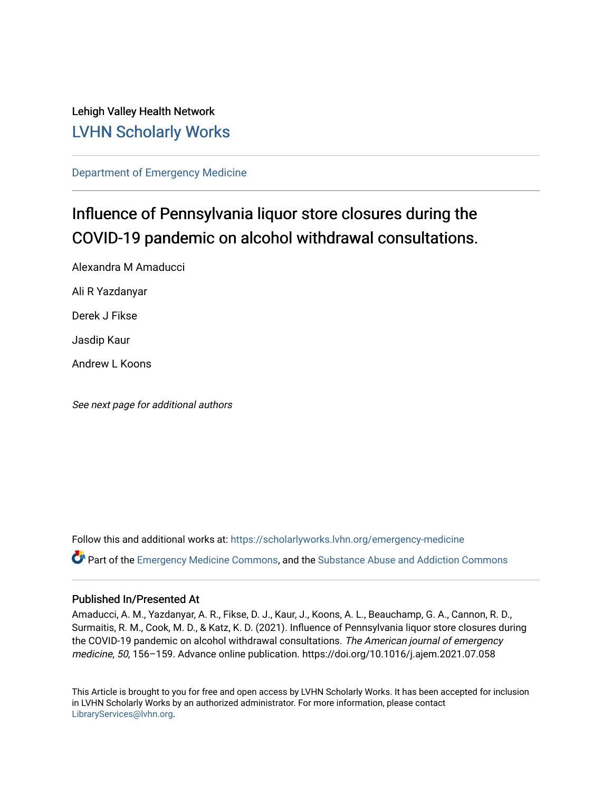## Lehigh Valley Health Network [LVHN Scholarly Works](https://scholarlyworks.lvhn.org/)

[Department of Emergency Medicine](https://scholarlyworks.lvhn.org/emergency-medicine)

# Influence of Pennsylvania liquor store closures during the COVID-19 pandemic on alcohol withdrawal consultations.

Alexandra M Amaducci Ali R Yazdanyar

Derek J Fikse

Jasdip Kaur

Andrew L Koons

See next page for additional authors

Follow this and additional works at: [https://scholarlyworks.lvhn.org/emergency-medicine](https://scholarlyworks.lvhn.org/emergency-medicine?utm_source=scholarlyworks.lvhn.org%2Femergency-medicine%2F675&utm_medium=PDF&utm_campaign=PDFCoverPages)  Part of the [Emergency Medicine Commons](https://network.bepress.com/hgg/discipline/685?utm_source=scholarlyworks.lvhn.org%2Femergency-medicine%2F675&utm_medium=PDF&utm_campaign=PDFCoverPages), and the [Substance Abuse and Addiction Commons](https://network.bepress.com/hgg/discipline/710?utm_source=scholarlyworks.lvhn.org%2Femergency-medicine%2F675&utm_medium=PDF&utm_campaign=PDFCoverPages)

### Published In/Presented At

Amaducci, A. M., Yazdanyar, A. R., Fikse, D. J., Kaur, J., Koons, A. L., Beauchamp, G. A., Cannon, R. D., Surmaitis, R. M., Cook, M. D., & Katz, K. D. (2021). Influence of Pennsylvania liquor store closures during the COVID-19 pandemic on alcohol withdrawal consultations. The American journal of emergency medicine, 50, 156–159. Advance online publication. https://doi.org/10.1016/j.ajem.2021.07.058

This Article is brought to you for free and open access by LVHN Scholarly Works. It has been accepted for inclusion in LVHN Scholarly Works by an authorized administrator. For more information, please contact [LibraryServices@lvhn.org](mailto:LibraryServices@lvhn.org).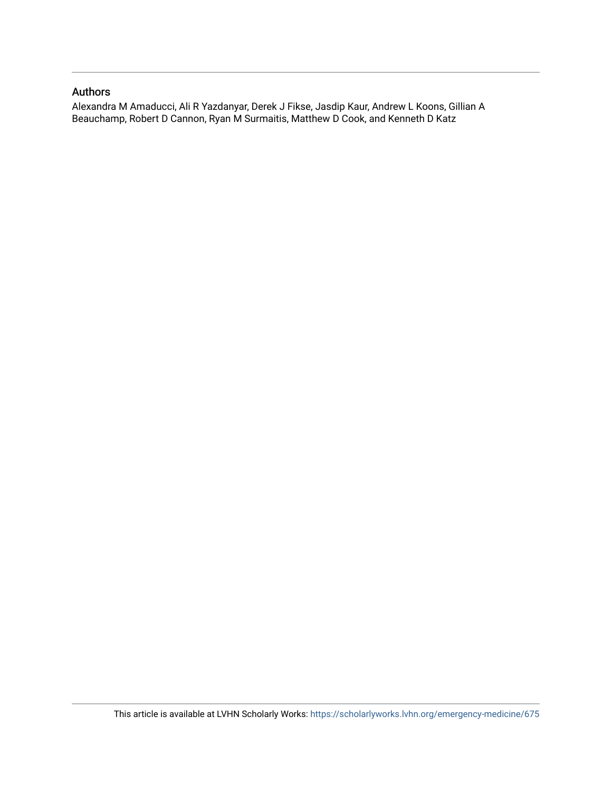### Authors

Alexandra M Amaducci, Ali R Yazdanyar, Derek J Fikse, Jasdip Kaur, Andrew L Koons, Gillian A Beauchamp, Robert D Cannon, Ryan M Surmaitis, Matthew D Cook, and Kenneth D Katz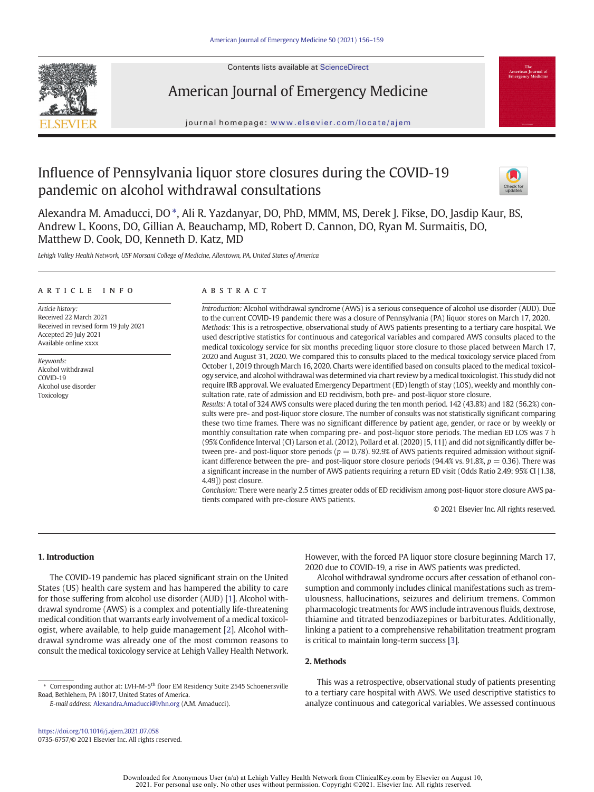



### American Journal of Emergency Medicine

journal homepage: <www.elsevier.com/locate/ajem>

### Influence of Pennsylvania liquor store closures during the COVID-19 pandemic on alcohol withdrawal consultations



Alexandra M. Amaducci, DO ⁎, Ali R. Yazdanyar, DO, PhD, MMM, MS, Derek J. Fikse, DO, Jasdip Kaur, BS, Andrew L. Koons, DO, Gillian A. Beauchamp, MD, Robert D. Cannon, DO, Ryan M. Surmaitis, DO, Matthew D. Cook, DO, Kenneth D. Katz, MD

Lehigh Valley Health Network, USF Morsani College of Medicine, Allentown, PA, United States of America

#### article info abstract

Article history: Received 22 March 2021 Received in revised form 19 July 2021 Accepted 29 July 2021 Available online xxxx

Keywords: Alcohol withdrawal COVID-19 Alcohol use disorder Toxicology

Introduction: Alcohol withdrawal syndrome (AWS) is a serious consequence of alcohol use disorder (AUD). Due to the current COVID-19 pandemic there was a closure of Pennsylvania (PA) liquor stores on March 17, 2020. Methods: This is a retrospective, observational study of AWS patients presenting to a tertiary care hospital. We used descriptive statistics for continuous and categorical variables and compared AWS consults placed to the medical toxicology service for six months preceding liquor store closure to those placed between March 17, 2020 and August 31, 2020. We compared this to consults placed to the medical toxicology service placed from October 1, 2019 through March 16, 2020. Charts were identified based on consults placed to the medical toxicology service, and alcohol withdrawal was determined via chart review by a medical toxicologist. This study did not require IRB approval. We evaluated Emergency Department (ED) length of stay (LOS), weekly and monthly consultation rate, rate of admission and ED recidivism, both pre- and post-liquor store closure.

Results: A total of 324 AWS consults were placed during the ten month period. 142 (43.8%) and 182 (56.2%) consults were pre- and post-liquor store closure. The number of consults was not statistically significant comparing these two time frames. There was no significant difference by patient age, gender, or race or by weekly or monthly consultation rate when comparing pre- and post-liquor store periods. The median ED LOS was 7 h (95% Confidence Interval (CI) Larson et al. (2012), Pollard et al. (2020) [5, 11]) and did not significantly differ between pre- and post-liquor store periods ( $p = 0.78$ ). 92.9% of AWS patients required admission without significant difference between the pre- and post-liquor store closure periods (94.4% vs. 91.8%,  $p = 0.36$ ). There was a significant increase in the number of AWS patients requiring a return ED visit (Odds Ratio 2.49; 95% CI [1.38, 4.49]) post closure.

Conclusion: There were nearly 2.5 times greater odds of ED recidivism among post-liquor store closure AWS patients compared with pre-closure AWS patients.

© 2021 Elsevier Inc. All rights reserved.

#### 1. Introduction

The COVID-19 pandemic has placed significant strain on the United States (US) health care system and has hampered the ability to care for those suffering from alcohol use disorder (AUD) [[1](#page-4-0)]. Alcohol withdrawal syndrome (AWS) is a complex and potentially life-threatening medical condition that warrants early involvement of a medical toxicologist, where available, to help guide management [\[2\]](#page-5-0). Alcohol withdrawal syndrome was already one of the most common reasons to consult the medical toxicology service at Lehigh Valley Health Network. However, with the forced PA liquor store closure beginning March 17, 2020 due to COVID-19, a rise in AWS patients was predicted.

Alcohol withdrawal syndrome occurs after cessation of ethanol consumption and commonly includes clinical manifestations such as tremulousness, hallucinations, seizures and delirium tremens. Common pharmacologic treatments for AWS include intravenous fluids, dextrose, thiamine and titrated benzodiazepines or barbiturates. Additionally, linking a patient to a comprehensive rehabilitation treatment program is critical to maintain long-term success [[3](#page-5-0)].

### 2. Methods

E-mail address: [Alexandra.Amaducci@lvhn.org](mailto:Alexandra.Amaducci@lvhn.org) (A.M. Amaducci).

This was a retrospective, observational study of patients presenting to a tertiary care hospital with AWS. We used descriptive statistics to analyze continuous and categorical variables. We assessed continuous

<sup>⁎</sup> Corresponding author at: LVH-M-5th floor EM Residency Suite 2545 Schoenersville Road, Bethlehem, PA 18017, United States of America.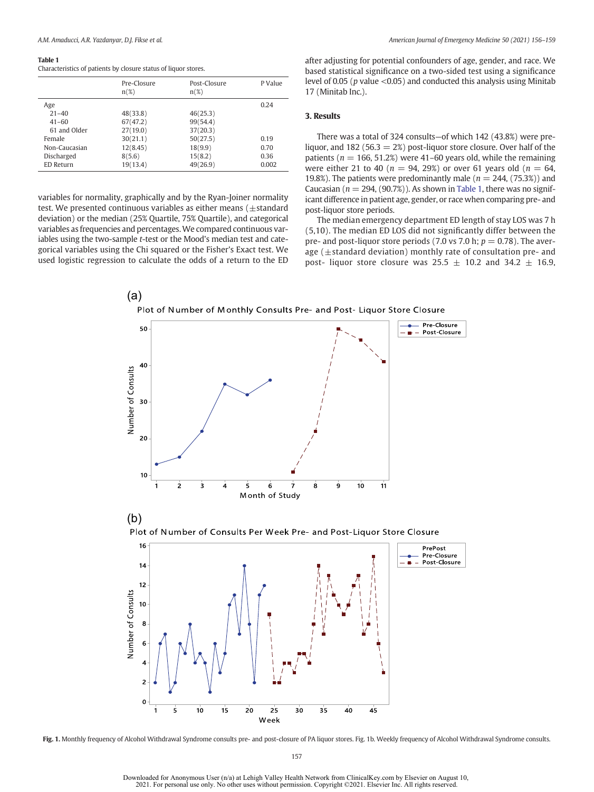#### <span id="page-3-0"></span>Table 1

|               | Pre-Closure<br>$n(\%)$ | Post-Closure<br>$n(\%)$ | P Value |
|---------------|------------------------|-------------------------|---------|
| Age           |                        |                         | 0.24    |
| $21 - 40$     | 48(33.8)               | 46(25.3)                |         |
| $41 - 60$     | 67(47.2)               | 99(54.4)                |         |
| 61 and Older  | 27(19.0)               | 37(20.3)                |         |
| Female        | 30(21.1)               | 50(27.5)                | 0.19    |
| Non-Caucasian | 12(8.45)               | 18(9.9)                 | 0.70    |
| Discharged    | 8(5.6)                 | 15(8.2)                 | 0.36    |
| ED Return     | 19(13.4)               | 49(26.9)                | 0.002   |
|               |                        |                         |         |

variables for normality, graphically and by the Ryan-Joiner normality test. We presented continuous variables as either means  $(\pm$ standard deviation) or the median (25% Quartile, 75% Quartile), and categorical variables as frequencies and percentages.We compared continuous variables using the two-sample t-test or the Mood's median test and categorical variables using the Chi squared or the Fisher's Exact test. We used logistic regression to calculate the odds of a return to the ED after adjusting for potential confounders of age, gender, and race. We based statistical significance on a two-sided test using a significance level of 0.05 ( $p$  value  $\leq$ 0.05) and conducted this analysis using Minitab 17 (Minitab Inc.).

#### 3. Results

There was a total of 324 consults—of which 142 (43.8%) were preliquor, and 182 (56.3  $= 2\%)$  post-liquor store closure. Over half of the patients ( $n = 166, 51.2\%$ ) were 41–60 years old, while the remaining were either 21 to 40 ( $n = 94$ , 29%) or over 61 years old ( $n = 64$ , 19.8%). The patients were predominantly male ( $n = 244$ , (75.3%)) and Caucasian ( $n = 294$ , (90.7%)). As shown in Table 1, there was no significant difference in patient age, gender, or race when comparing pre- and post-liquor store periods.

The median emergency department ED length of stay LOS was 7 h (5,10). The median ED LOS did not significantly differ between the pre- and post-liquor store periods (7.0 vs 7.0 h;  $p = 0.78$ ). The average ( $\pm$ standard deviation) monthly rate of consultation pre- and post- liquor store closure was  $25.5 \pm 10.2$  and  $34.2 \pm 16.9$ ,



Fig. 1. Monthly frequency of Alcohol Withdrawal Syndrome consults pre- and post-closure of PA liquor stores. Fig. 1b. Weekly frequency of Alcohol Withdrawal Syndrome consults.

157

Downloaded for Anonymous User (n/a) at Lehigh Valley Health Network from ClinicalKey.com by Elsevier on August 10, 2021. For personal use only. No other uses without permission. Copyright ©2021. Elsevier Inc. All rights reserved.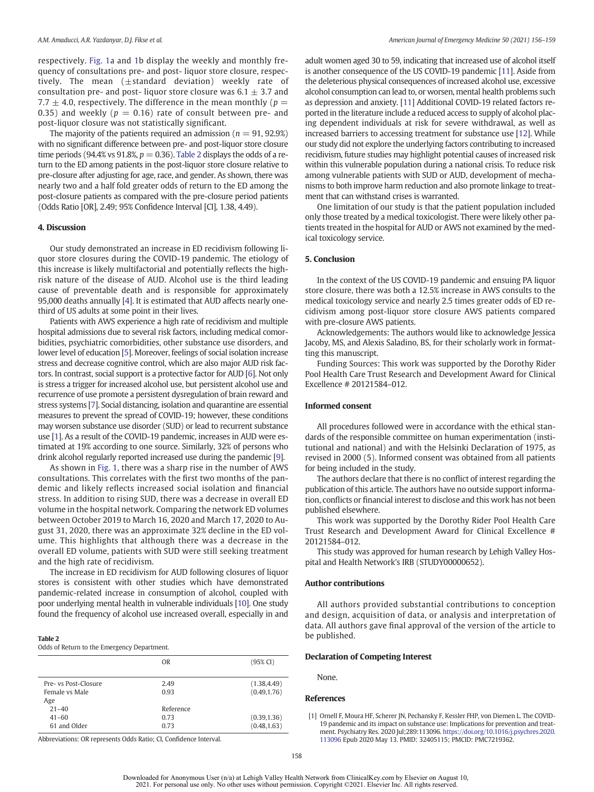<span id="page-4-0"></span>respectively. [Fig. 1a](#page-3-0) and [1](#page-3-0)b display the weekly and monthly frequency of consultations pre- and post- liquor store closure, respectively. The mean  $(\pm$ standard deviation) weekly rate of consultation pre- and post- liquor store closure was  $6.1 \pm 3.7$  and 7.7  $\pm$  4.0, respectively. The difference in the mean monthly ( $p =$ 0.35) and weekly ( $p = 0.16$ ) rate of consult between pre- and post-liquor closure was not statistically significant.

The majority of the patients required an admission ( $n = 91, 92.9\%$ ) with no significant difference between pre- and post-liquor store closure time periods (94.4% vs 91.8%,  $p = 0.36$ ). Table 2 displays the odds of a return to the ED among patients in the post-liquor store closure relative to pre-closure after adjusting for age, race, and gender. As shown, there was nearly two and a half fold greater odds of return to the ED among the post-closure patients as compared with the pre-closure period patients (Odds Ratio [OR], 2.49; 95% Confidence Interval [CI], 1.38, 4.49).

#### 4. Discussion

Our study demonstrated an increase in ED recidivism following liquor store closures during the COVID-19 pandemic. The etiology of this increase is likely multifactorial and potentially reflects the highrisk nature of the disease of AUD. Alcohol use is the third leading cause of preventable death and is responsible for approximately 95,000 deaths annually [\[4\]](#page-5-0). It is estimated that AUD affects nearly onethird of US adults at some point in their lives.

Patients with AWS experience a high rate of recidivism and multiple hospital admissions due to several risk factors, including medical comorbidities, psychiatric comorbidities, other substance use disorders, and lower level of education [[5\]](#page-5-0). Moreover, feelings of social isolation increase stress and decrease cognitive control, which are also major AUD risk factors. In contrast, social support is a protective factor for AUD [\[6](#page-5-0)]. Not only is stress a trigger for increased alcohol use, but persistent alcohol use and recurrence of use promote a persistent dysregulation of brain reward and stress systems [\[7\]](#page-5-0). Social distancing, isolation and quarantine are essential measures to prevent the spread of COVID-19; however, these conditions may worsen substance use disorder (SUD) or lead to recurrent substance use [1]. As a result of the COVID-19 pandemic, increases in AUD were estimated at 19% according to one source. Similarly, 32% of persons who drink alcohol regularly reported increased use during the pandemic [\[9](#page-5-0)].

As shown in [Fig. 1,](#page-3-0) there was a sharp rise in the number of AWS consultations. This correlates with the first two months of the pandemic and likely reflects increased social isolation and financial stress. In addition to rising SUD, there was a decrease in overall ED volume in the hospital network. Comparing the network ED volumes between October 2019 to March 16, 2020 and March 17, 2020 to August 31, 2020, there was an approximate 32% decline in the ED volume. This highlights that although there was a decrease in the overall ED volume, patients with SUD were still seeking treatment and the high rate of recidivism.

The increase in ED recidivism for AUD following closures of liquor stores is consistent with other studies which have demonstrated pandemic-related increase in consumption of alcohol, coupled with poor underlying mental health in vulnerable individuals [\[10](#page-5-0)]. One study found the frequency of alcohol use increased overall, especially in and

#### Table 2

Odds of Return to the Emergency Department.

|                      | 0 <sub>R</sub> | (95% CI)     |
|----------------------|----------------|--------------|
| Pre- vs Post-Closure | 2.49           | (1.38, 4.49) |
| Female vs Male       | 0.93           | (0.49, 1.76) |
| Age                  |                |              |
| $21 - 40$            | Reference      |              |
| $41 - 60$            | 0.73           | (0.39, 1.36) |
| 61 and Older         | 0.73           | (0.48, 1.63) |
|                      |                |              |

Abbreviations: OR represents Odds Ratio; CI, Confidence Interval.

adult women aged 30 to 59, indicating that increased use of alcohol itself is another consequence of the US COVID-19 pandemic [\[11\]](#page-5-0). Aside from the deleterious physical consequences of increased alcohol use, excessive alcohol consumption can lead to, or worsen, mental health problems such as depression and anxiety. [\[11](#page-5-0)] Additional COVID-19 related factors reported in the literature include a reduced access to supply of alcohol placing dependent individuals at risk for severe withdrawal, as well as increased barriers to accessing treatment for substance use [\[12](#page-5-0)]. While our study did not explore the underlying factors contributing to increased recidivism, future studies may highlight potential causes of increased risk within this vulnerable population during a national crisis. To reduce risk among vulnerable patients with SUD or AUD, development of mechanisms to both improve harm reduction and also promote linkage to treatment that can withstand crises is warranted.

One limitation of our study is that the patient population included only those treated by a medical toxicologist. There were likely other patients treated in the hospital for AUD or AWS not examined by the medical toxicology service.

#### 5. Conclusion

In the context of the US COVID-19 pandemic and ensuing PA liquor store closure, there was both a 12.5% increase in AWS consults to the medical toxicology service and nearly 2.5 times greater odds of ED recidivism among post-liquor store closure AWS patients compared with pre-closure AWS patients.

Acknowledgements: The authors would like to acknowledge Jessica Jacoby, MS, and Alexis Saladino, BS, for their scholarly work in formatting this manuscript.

Funding Sources: This work was supported by the Dorothy Rider Pool Health Care Trust Research and Development Award for Clinical Excellence # 20121584–012.

#### Informed consent

All procedures followed were in accordance with the ethical standards of the responsible committee on human experimentation (institutional and national) and with the Helsinki Declaration of 1975, as revised in 2000 (5). Informed consent was obtained from all patients for being included in the study.

The authors declare that there is no conflict of interest regarding the publication of this article. The authors have no outside support information, conflicts or financial interest to disclose and this work has not been published elsewhere.

This work was supported by the Dorothy Rider Pool Health Care Trust Research and Development Award for Clinical Excellence # 20121584–012.

This study was approved for human research by Lehigh Valley Hospital and Health Network's IRB (STUDY00000652).

#### Author contributions

All authors provided substantial contributions to conception and design, acquisition of data, or analysis and interpretation of data. All authors gave final approval of the version of the article to be published.

#### Declaration of Competing Interest

None.

#### References

[1] Ornell F, Moura HF, Scherer JN, Pechansky F, Kessler FHP, von Diemen L. The COVID-19 pandemic and its impact on substance use: Implications for prevention and treatment. Psychiatry Res. 2020 Jul;289:113096. [https://doi.org/10.1016/j.psychres.2020.](https://doi.org/10.1016/j.psychres.2020.113096) [113096](https://doi.org/10.1016/j.psychres.2020.113096) Epub 2020 May 13. PMID: 32405115; PMCID: PMC7219362.

158

Downloaded for Anonymous User (n/a) at Lehigh Valley Health Network from ClinicalKey.com by Elsevier on August 10, 2021. For personal use only. No other uses without permission. Copyright ©2021. Elsevier Inc. All rights reserved.